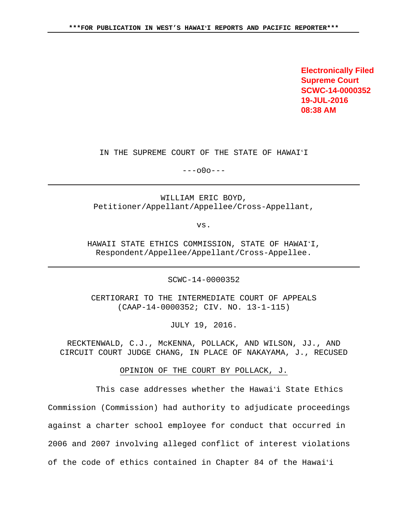**Electronically Filed Supreme Court SCWC-14-0000352 19-JUL-2016 08:38 AM**

IN THE SUPREME COURT OF THE STATE OF HAWAIʻI

 $---000---$ 

WILLIAM ERIC BOYD, Petitioner/Appellant/Appellee/Cross-Appellant,

vs.

HAWAII STATE ETHICS COMMISSION, STATE OF HAWAIʻI, Respondent/Appellee/Appellant/Cross-Appellee.

SCWC-14-0000352

CERTIORARI TO THE INTERMEDIATE COURT OF APPEALS (CAAP-14-0000352; CIV. NO. 13-1-115)

JULY 19, 2016.

RECKTENWALD, C.J., McKENNA, POLLACK, AND WILSON, JJ., AND CIRCUIT COURT JUDGE CHANG, IN PLACE OF NAKAYAMA, J., RECUSED

OPINION OF THE COURT BY POLLACK, J.

 This case addresses whether the Hawaiʻi State Ethics Commission (Commission) had authority to adjudicate proceedings against a charter school employee for conduct that occurred in 2006 and 2007 involving alleged conflict of interest violations of the code of ethics contained in Chapter 84 of the Hawaiʻi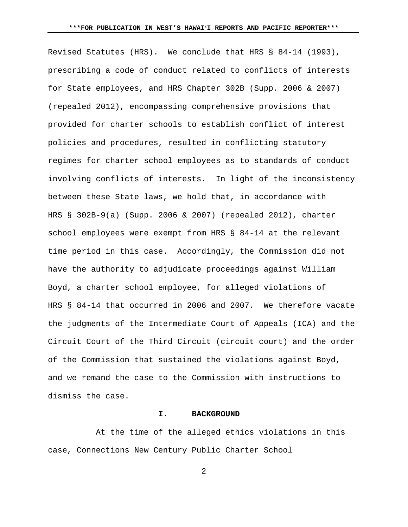Revised Statutes (HRS). We conclude that HRS § 84-14 (1993), prescribing a code of conduct related to conflicts of interests for State employees, and HRS Chapter 302B (Supp. 2006 & 2007) (repealed 2012), encompassing comprehensive provisions that provided for charter schools to establish conflict of interest policies and procedures, resulted in conflicting statutory regimes for charter school employees as to standards of conduct involving conflicts of interests. In light of the inconsistency between these State laws, we hold that, in accordance with HRS § 302B-9(a) (Supp. 2006 & 2007) (repealed 2012), charter school employees were exempt from HRS § 84-14 at the relevant time period in this case. Accordingly, the Commission did not have the authority to adjudicate proceedings against William Boyd, a charter school employee, for alleged violations of HRS § 84-14 that occurred in 2006 and 2007. We therefore vacate the judgments of the Intermediate Court of Appeals (ICA) and the Circuit Court of the Third Circuit (circuit court) and the order of the Commission that sustained the violations against Boyd, and we remand the case to the Commission with instructions to dismiss the case.

## **I. BACKGROUND**

 At the time of the alleged ethics violations in this case, Connections New Century Public Charter School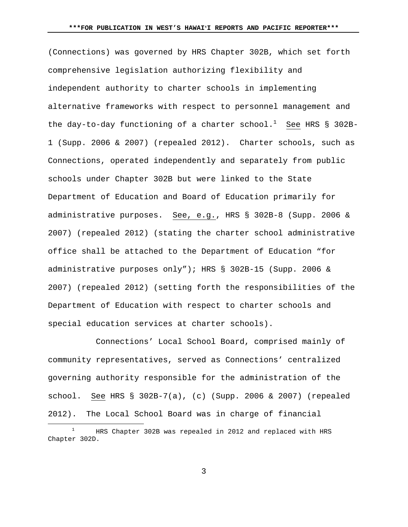(Connections) was governed by HRS Chapter 302B, which set forth comprehensive legislation authorizing flexibility and independent authority to charter schools in implementing alternative frameworks with respect to personnel management and the day-to-day functioning of a charter  $\text{school.}^1$  See HRS § 302B-1 (Supp. 2006 & 2007) (repealed 2012). Charter schools, such as Connections, operated independently and separately from public schools under Chapter 302B but were linked to the State Department of Education and Board of Education primarily for administrative purposes. See, e.g., HRS § 302B-8 (Supp. 2006 & 2007) (repealed 2012) (stating the charter school administrative office shall be attached to the Department of Education "for administrative purposes only"); HRS § 302B-15 (Supp. 2006 & 2007) (repealed 2012) (setting forth the responsibilities of the Department of Education with respect to charter schools and special education services at charter schools).

 Connections' Local School Board, comprised mainly of community representatives, served as Connections' centralized governing authority responsible for the administration of the school. See HRS § 302B-7(a), (c) (Supp. 2006 & 2007) (repealed 2012). The Local School Board was in charge of financial

<sup>&</sup>lt;u>1</u>  $1$  HRS Chapter 302B was repealed in 2012 and replaced with HRS Chapter 302D.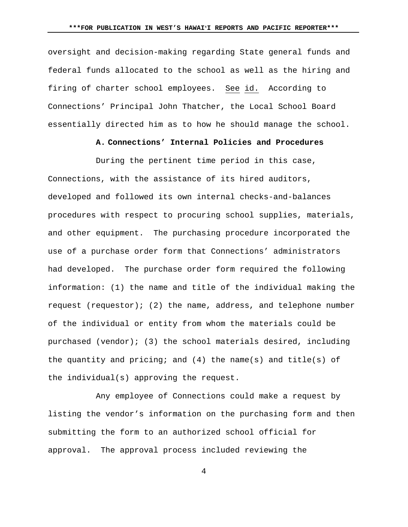oversight and decision-making regarding State general funds and federal funds allocated to the school as well as the hiring and firing of charter school employees. See id. According to Connections' Principal John Thatcher, the Local School Board essentially directed him as to how he should manage the school.

# **A. Connections' Internal Policies and Procedures**

 During the pertinent time period in this case, Connections, with the assistance of its hired auditors, developed and followed its own internal checks-and-balances procedures with respect to procuring school supplies, materials, and other equipment. The purchasing procedure incorporated the use of a purchase order form that Connections' administrators had developed. The purchase order form required the following information: (1) the name and title of the individual making the request (requestor); (2) the name, address, and telephone number of the individual or entity from whom the materials could be purchased (vendor); (3) the school materials desired, including the quantity and pricing; and  $(4)$  the name(s) and title(s) of the individual(s) approving the request.

 Any employee of Connections could make a request by listing the vendor's information on the purchasing form and then submitting the form to an authorized school official for approval. The approval process included reviewing the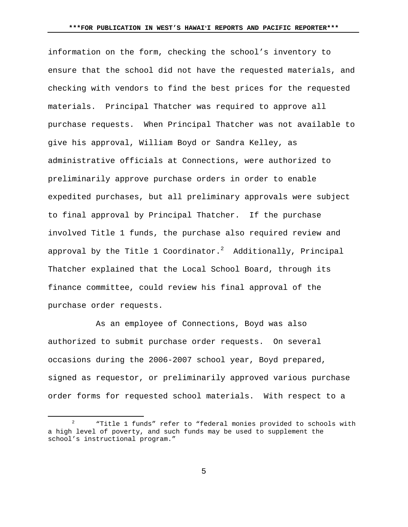information on the form, checking the school's inventory to ensure that the school did not have the requested materials, and checking with vendors to find the best prices for the requested materials. Principal Thatcher was required to approve all purchase requests. When Principal Thatcher was not available to give his approval, William Boyd or Sandra Kelley, as administrative officials at Connections, were authorized to preliminarily approve purchase orders in order to enable expedited purchases, but all preliminary approvals were subject to final approval by Principal Thatcher. If the purchase involved Title 1 funds, the purchase also required review and approval by the Title 1 Coordinator. $^2$  Additionally, Principal Thatcher explained that the Local School Board, through its finance committee, could review his final approval of the purchase order requests.

 As an employee of Connections, Boyd was also authorized to submit purchase order requests. On several occasions during the 2006-2007 school year, Boyd prepared, signed as requestor, or preliminarily approved various purchase order forms for requested school materials. With respect to a

 $\sim$  5  $\sim$  5  $\sim$  5  $\sim$  5  $\sim$  5  $\sim$  5  $\sim$  5  $\sim$  5  $\sim$  5  $\sim$  5  $\sim$  5  $\sim$  5  $\sim$  5  $\sim$  5  $\sim$  5  $\sim$  5  $\sim$  5  $\sim$  5  $\sim$  5  $\sim$  5  $\sim$  5  $\sim$  5  $\sim$  5  $\sim$  5  $\sim$  5  $\sim$  5  $\sim$  5  $\sim$  5  $\sim$  5  $\sim$  5  $\sim$  5  $\sim$ 

 <sup>2</sup> "Title 1 funds" refer to "federal monies provided to schools with a high level of poverty, and such funds may be used to supplement the school's instructional program."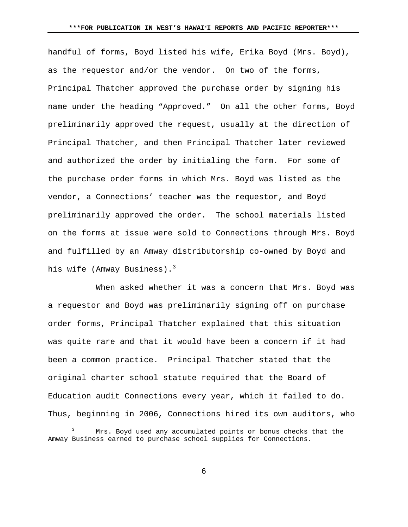handful of forms, Boyd listed his wife, Erika Boyd (Mrs. Boyd), as the requestor and/or the vendor. On two of the forms, Principal Thatcher approved the purchase order by signing his name under the heading "Approved." On all the other forms, Boyd preliminarily approved the request, usually at the direction of Principal Thatcher, and then Principal Thatcher later reviewed and authorized the order by initialing the form. For some of the purchase order forms in which Mrs. Boyd was listed as the vendor, a Connections' teacher was the requestor, and Boyd preliminarily approved the order. The school materials listed on the forms at issue were sold to Connections through Mrs. Boyd and fulfilled by an Amway distributorship co-owned by Boyd and his wife (Amway Business). $3$ 

 When asked whether it was a concern that Mrs. Boyd was a requestor and Boyd was preliminarily signing off on purchase order forms, Principal Thatcher explained that this situation was quite rare and that it would have been a concern if it had been a common practice. Principal Thatcher stated that the original charter school statute required that the Board of Education audit Connections every year, which it failed to do. Thus, beginning in 2006, Connections hired its own auditors, who

 $\sim$  6

 $\frac{1}{3}$ <sup>3</sup> Mrs. Boyd used any accumulated points or bonus checks that the Amway Business earned to purchase school supplies for Connections.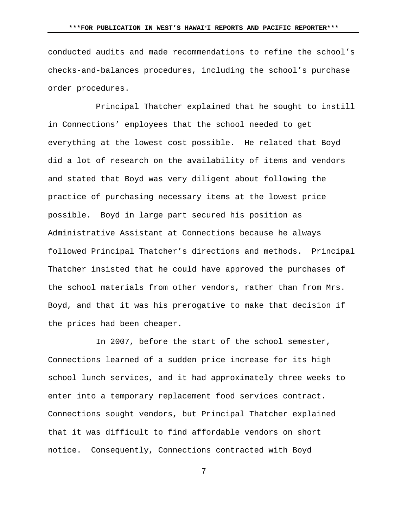conducted audits and made recommendations to refine the school's checks-and-balances procedures, including the school's purchase order procedures.

 Principal Thatcher explained that he sought to instill in Connections' employees that the school needed to get everything at the lowest cost possible. He related that Boyd did a lot of research on the availability of items and vendors and stated that Boyd was very diligent about following the practice of purchasing necessary items at the lowest price possible. Boyd in large part secured his position as Administrative Assistant at Connections because he always followed Principal Thatcher's directions and methods. Principal Thatcher insisted that he could have approved the purchases of the school materials from other vendors, rather than from Mrs. Boyd, and that it was his prerogative to make that decision if the prices had been cheaper.

 In 2007, before the start of the school semester, Connections learned of a sudden price increase for its high school lunch services, and it had approximately three weeks to enter into a temporary replacement food services contract. Connections sought vendors, but Principal Thatcher explained that it was difficult to find affordable vendors on short notice. Consequently, Connections contracted with Boyd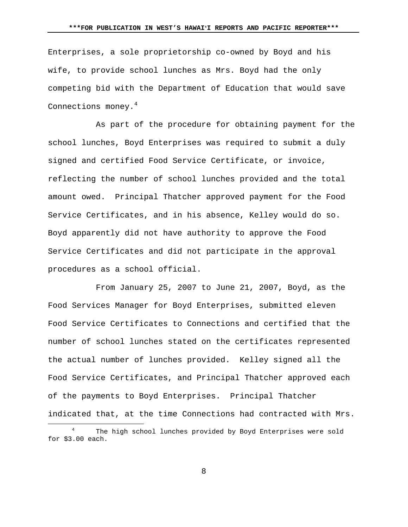Enterprises, a sole proprietorship co-owned by Boyd and his wife, to provide school lunches as Mrs. Boyd had the only competing bid with the Department of Education that would save Connections money.<sup>4</sup>

 As part of the procedure for obtaining payment for the school lunches, Boyd Enterprises was required to submit a duly signed and certified Food Service Certificate, or invoice, reflecting the number of school lunches provided and the total amount owed. Principal Thatcher approved payment for the Food Service Certificates, and in his absence, Kelley would do so. Boyd apparently did not have authority to approve the Food Service Certificates and did not participate in the approval procedures as a school official.

 From January 25, 2007 to June 21, 2007, Boyd, as the Food Services Manager for Boyd Enterprises, submitted eleven Food Service Certificates to Connections and certified that the number of school lunches stated on the certificates represented the actual number of lunches provided. Kelley signed all the Food Service Certificates, and Principal Thatcher approved each of the payments to Boyd Enterprises. Principal Thatcher indicated that, at the time Connections had contracted with Mrs.

 <sup>4</sup> <sup>4</sup> The high school lunches provided by Boyd Enterprises were sold for \$3.00 each.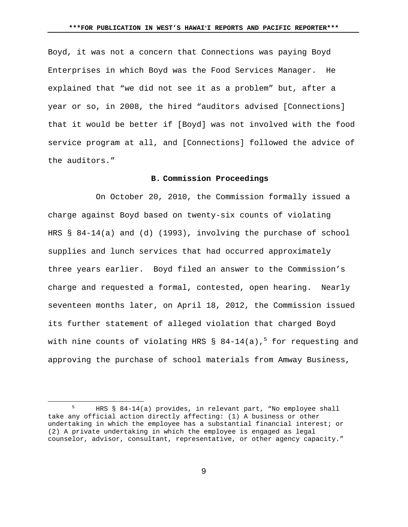Boyd, it was not a concern that Connections was paying Boyd Enterprises in which Boyd was the Food Services Manager. He explained that "we did not see it as a problem" but, after a year or so, in 2008, the hired "auditors advised [Connections] that it would be better if [Boyd] was not involved with the food service program at all, and [Connections] followed the advice of the auditors."

#### **B. Commission Proceedings**

 On October 20, 2010, the Commission formally issued a charge against Boyd based on twenty-six counts of violating HRS § 84-14(a) and (d) (1993), involving the purchase of school supplies and lunch services that had occurred approximately three years earlier. Boyd filed an answer to the Commission's charge and requested a formal, contested, open hearing. Nearly seventeen months later, on April 18, 2012, the Commission issued its further statement of alleged violation that charged Boyd with nine counts of violating HRS  $\S$  84-14(a), $^5$  for requesting and approving the purchase of school materials from Amway Business,

 $\frac{1}{5}$  HRS § 84-14(a) provides, in relevant part, "No employee shall take any official action directly affecting: (1) A business or other undertaking in which the employee has a substantial financial interest; or (2) A private undertaking in which the employee is engaged as legal counselor, advisor, consultant, representative, or other agency capacity."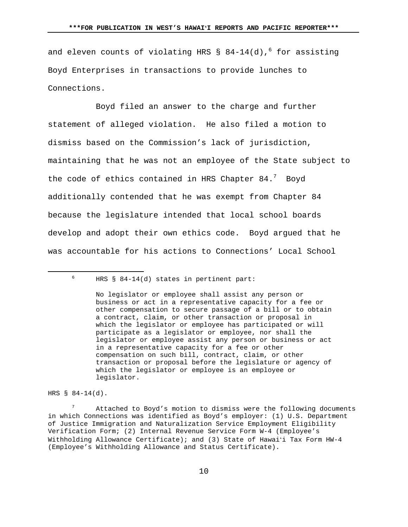and eleven counts of violating HRS §  $84-14$ (d), $^{6}$  for assisting Boyd Enterprises in transactions to provide lunches to Connections.

 Boyd filed an answer to the charge and further statement of alleged violation. He also filed a motion to dismiss based on the Commission's lack of jurisdiction, maintaining that he was not an employee of the State subject to the code of ethics contained in HRS Chapter  $84.^7$  Boyd additionally contended that he was exempt from Chapter 84 because the legislature intended that local school boards develop and adopt their own ethics code. Boyd argued that he was accountable for his actions to Connections' Local School

HRS § 84-14(d).

7 Attached to Boyd's motion to dismiss were the following documents in which Connections was identified as Boyd's employer: (1) U.S. Department of Justice Immigration and Naturalization Service Employment Eligibility Verification Form; (2) Internal Revenue Service Form W-4 (Employee's Withholding Allowance Certificate); and (3) State of Hawaiʻi Tax Form HW-4 (Employee's Withholding Allowance and Status Certificate).

 $\frac{1}{6}$  $6$  HRS § 84-14(d) states in pertinent part:

No legislator or employee shall assist any person or business or act in a representative capacity for a fee or other compensation to secure passage of a bill or to obtain a contract, claim, or other transaction or proposal in which the legislator or employee has participated or will participate as a legislator or employee, nor shall the legislator or employee assist any person or business or act in a representative capacity for a fee or other compensation on such bill, contract, claim, or other transaction or proposal before the legislature or agency of which the legislator or employee is an employee or legislator.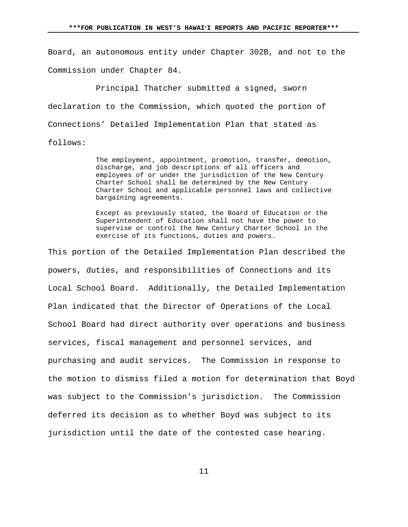Board, an autonomous entity under Chapter 302B, and not to the Commission under Chapter 84.

 Principal Thatcher submitted a signed, sworn declaration to the Commission, which quoted the portion of Connections' Detailed Implementation Plan that stated as follows:

> The employment, appointment, promotion, transfer, demotion, discharge, and job descriptions of all officers and employees of or under the jurisdiction of the New Century Charter School shall be determined by the New Century Charter School and applicable personnel laws and collective bargaining agreements.

Except as previously stated, the Board of Education or the Superintendent of Education shall not have the power to supervise or control the New Century Charter School in the exercise of its functions, duties and powers.

This portion of the Detailed Implementation Plan described the powers, duties, and responsibilities of Connections and its Local School Board. Additionally, the Detailed Implementation Plan indicated that the Director of Operations of the Local School Board had direct authority over operations and business services, fiscal management and personnel services, and purchasing and audit services. The Commission in response to the motion to dismiss filed a motion for determination that Boyd was subject to the Commission's jurisdiction. The Commission deferred its decision as to whether Boyd was subject to its jurisdiction until the date of the contested case hearing.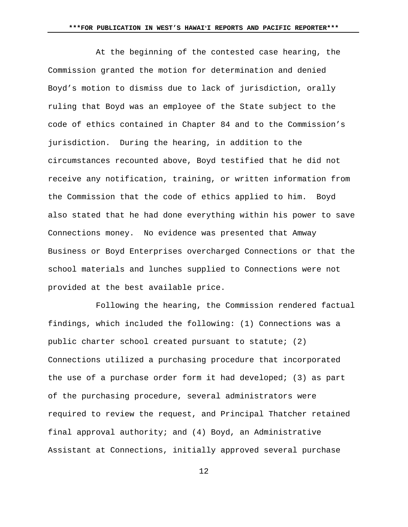At the beginning of the contested case hearing, the Commission granted the motion for determination and denied Boyd's motion to dismiss due to lack of jurisdiction, orally ruling that Boyd was an employee of the State subject to the code of ethics contained in Chapter 84 and to the Commission's jurisdiction. During the hearing, in addition to the circumstances recounted above, Boyd testified that he did not receive any notification, training, or written information from the Commission that the code of ethics applied to him. Boyd also stated that he had done everything within his power to save Connections money. No evidence was presented that Amway Business or Boyd Enterprises overcharged Connections or that the school materials and lunches supplied to Connections were not provided at the best available price.

 Following the hearing, the Commission rendered factual findings, which included the following: (1) Connections was a public charter school created pursuant to statute; (2) Connections utilized a purchasing procedure that incorporated the use of a purchase order form it had developed; (3) as part of the purchasing procedure, several administrators were required to review the request, and Principal Thatcher retained final approval authority; and (4) Boyd, an Administrative Assistant at Connections, initially approved several purchase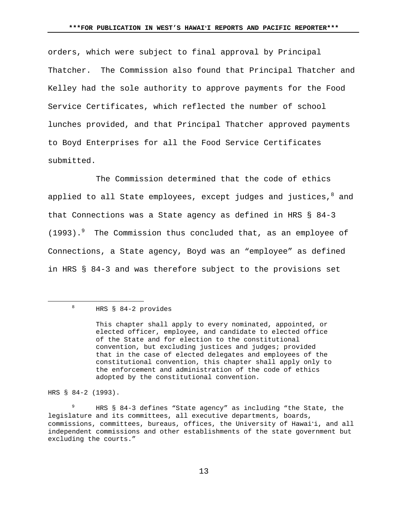orders, which were subject to final approval by Principal Thatcher. The Commission also found that Principal Thatcher and Kelley had the sole authority to approve payments for the Food Service Certificates, which reflected the number of school lunches provided, and that Principal Thatcher approved payments to Boyd Enterprises for all the Food Service Certificates submitted.

 The Commission determined that the code of ethics applied to all State employees, except judges and justices, $^8$  and that Connections was a State agency as defined in HRS § 84-3 (1993).<sup>9</sup> The Commission thus concluded that, as an employee of Connections, a State agency, Boyd was an "employee" as defined in HRS § 84-3 and was therefore subject to the provisions set

## $\frac{1}{8}$ HRS § 84-2 provides

HRS § 84-2 (1993).

9 HRS § 84-3 defines "State agency" as including "the State, the legislature and its committees, all executive departments, boards, commissions, committees, bureaus, offices, the University of Hawaiʻi, and all independent commissions and other establishments of the state government but excluding the courts."

This chapter shall apply to every nominated, appointed, or elected officer, employee, and candidate to elected office of the State and for election to the constitutional convention, but excluding justices and judges; provided that in the case of elected delegates and employees of the constitutional convention, this chapter shall apply only to the enforcement and administration of the code of ethics adopted by the constitutional convention.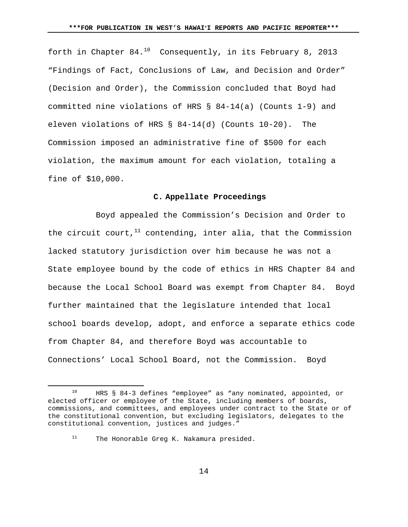forth in Chapter  $84.10$  Consequently, in its February 8, 2013 "Findings of Fact, Conclusions of Law, and Decision and Order" (Decision and Order), the Commission concluded that Boyd had committed nine violations of HRS § 84-14(a) (Counts 1-9) and eleven violations of HRS § 84-14(d) (Counts 10-20). The Commission imposed an administrative fine of \$500 for each violation, the maximum amount for each violation, totaling a fine of \$10,000.

#### **C. Appellate Proceedings**

 Boyd appealed the Commission's Decision and Order to the circuit court,<sup>11</sup> contending, inter alia, that the Commission lacked statutory jurisdiction over him because he was not a State employee bound by the code of ethics in HRS Chapter 84 and because the Local School Board was exempt from Chapter 84. Boyd further maintained that the legislature intended that local school boards develop, adopt, and enforce a separate ethics code from Chapter 84, and therefore Boyd was accountable to Connections' Local School Board, not the Commission. Boyd

11 The Honorable Greg K. Nakamura presided.

 <sup>10</sup> HRS § 84-3 defines "employee" as "any nominated, appointed, or elected officer or employee of the State, including members of boards, commissions, and committees, and employees under contract to the State or of the constitutional convention, but excluding legislators, delegates to the constitutional convention, justices and judges."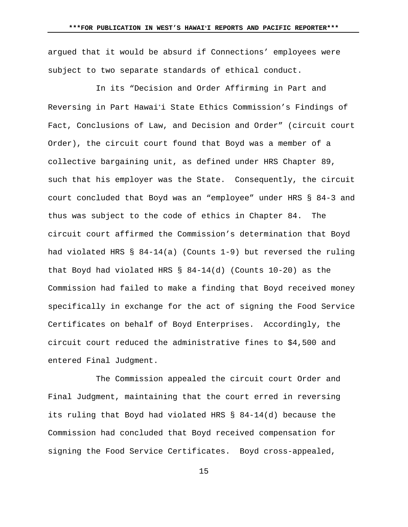argued that it would be absurd if Connections' employees were subject to two separate standards of ethical conduct.

 In its "Decision and Order Affirming in Part and Reversing in Part Hawaiʻi State Ethics Commission's Findings of Fact, Conclusions of Law, and Decision and Order" (circuit court Order), the circuit court found that Boyd was a member of a collective bargaining unit, as defined under HRS Chapter 89, such that his employer was the State. Consequently, the circuit court concluded that Boyd was an "employee" under HRS § 84-3 and thus was subject to the code of ethics in Chapter 84. The circuit court affirmed the Commission's determination that Boyd had violated HRS § 84-14(a) (Counts 1-9) but reversed the ruling that Boyd had violated HRS § 84-14(d) (Counts 10-20) as the Commission had failed to make a finding that Boyd received money specifically in exchange for the act of signing the Food Service Certificates on behalf of Boyd Enterprises. Accordingly, the circuit court reduced the administrative fines to \$4,500 and entered Final Judgment.

 The Commission appealed the circuit court Order and Final Judgment, maintaining that the court erred in reversing its ruling that Boyd had violated HRS § 84-14(d) because the Commission had concluded that Boyd received compensation for signing the Food Service Certificates. Boyd cross-appealed,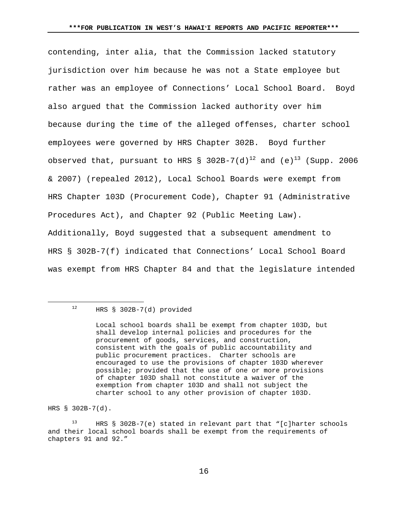contending, inter alia, that the Commission lacked statutory jurisdiction over him because he was not a State employee but rather was an employee of Connections' Local School Board. Boyd also argued that the Commission lacked authority over him because during the time of the alleged offenses, charter school employees were governed by HRS Chapter 302B. Boyd further observed that, pursuant to HRS § 302B-7(d)<sup>12</sup> and (e)<sup>13</sup> (Supp. 2006 & 2007) (repealed 2012), Local School Boards were exempt from HRS Chapter 103D (Procurement Code), Chapter 91 (Administrative Procedures Act), and Chapter 92 (Public Meeting Law). Additionally, Boyd suggested that a subsequent amendment to HRS § 302B-7(f) indicated that Connections' Local School Board was exempt from HRS Chapter 84 and that the legislature intended

HRS § 302B-7(d).

13 HRS § 302B-7(e) stated in relevant part that "[c]harter schools and their local school boards shall be exempt from the requirements of chapters 91 and 92."

 <sup>12</sup> HRS § 302B-7(d) provided

Local school boards shall be exempt from chapter 103D, but shall develop internal policies and procedures for the procurement of goods, services, and construction, consistent with the goals of public accountability and public procurement practices. Charter schools are encouraged to use the provisions of chapter 103D wherever possible; provided that the use of one or more provisions of chapter 103D shall not constitute a waiver of the exemption from chapter 103D and shall not subject the charter school to any other provision of chapter 103D.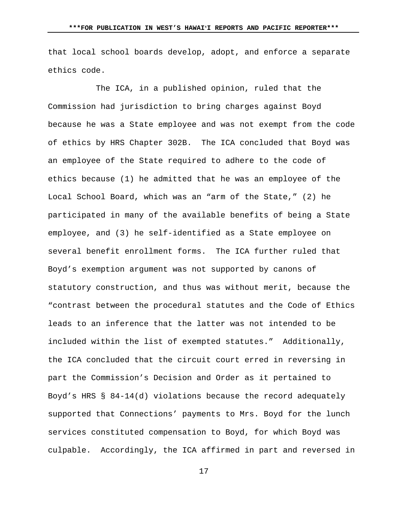that local school boards develop, adopt, and enforce a separate ethics code.

 The ICA, in a published opinion, ruled that the Commission had jurisdiction to bring charges against Boyd because he was a State employee and was not exempt from the code of ethics by HRS Chapter 302B. The ICA concluded that Boyd was an employee of the State required to adhere to the code of ethics because (1) he admitted that he was an employee of the Local School Board, which was an "arm of the State," (2) he participated in many of the available benefits of being a State employee, and (3) he self-identified as a State employee on several benefit enrollment forms. The ICA further ruled that Boyd's exemption argument was not supported by canons of statutory construction, and thus was without merit, because the "contrast between the procedural statutes and the Code of Ethics leads to an inference that the latter was not intended to be included within the list of exempted statutes." Additionally, the ICA concluded that the circuit court erred in reversing in part the Commission's Decision and Order as it pertained to Boyd's HRS § 84-14(d) violations because the record adequately supported that Connections' payments to Mrs. Boyd for the lunch services constituted compensation to Boyd, for which Boyd was culpable. Accordingly, the ICA affirmed in part and reversed in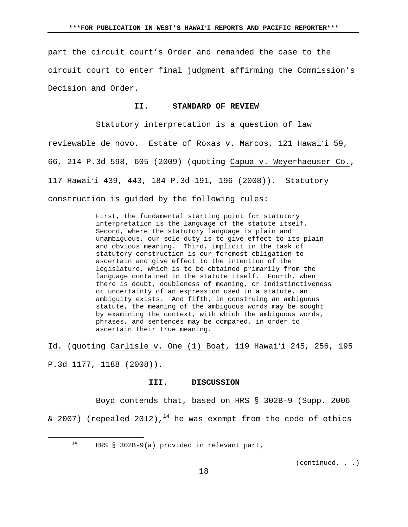part the circuit court's Order and remanded the case to the circuit court to enter final judgment affirming the Commission's Decision and Order.

## **II. STANDARD OF REVIEW**

 Statutory interpretation is a question of law reviewable de novo. Estate of Roxas v. Marcos, 121 Hawaiʻi 59, 66, 214 P.3d 598, 605 (2009) (quoting Capua v. Weyerhaeuser Co., 117 Hawaiʻi 439, 443, 184 P.3d 191, 196 (2008)). Statutory construction is guided by the following rules:

> First, the fundamental starting point for statutory interpretation is the language of the statute itself. Second, where the statutory language is plain and unambiguous, our sole duty is to give effect to its plain and obvious meaning. Third, implicit in the task of statutory construction is our foremost obligation to ascertain and give effect to the intention of the legislature, which is to be obtained primarily from the language contained in the statute itself. Fourth, when there is doubt, doubleness of meaning, or indistinctiveness or uncertainty of an expression used in a statute, an ambiguity exists. And fifth, in construing an ambiguous statute, the meaning of the ambiguous words may be sought by examining the context, with which the ambiguous words, phrases, and sentences may be compared, in order to ascertain their true meaning.

Id. (quoting Carlisle v. One (1) Boat, 119 Hawaiʻi 245, 256, 195 P.3d 1177, 1188 (2008)).

#### **III. DISCUSSION**

 Boyd contends that, based on HRS § 302B-9 (Supp. 2006 & 2007) (repealed 2012),<sup>14</sup> he was exempt from the code of ethics

14 HRS § 302B-9(a) provided in relevant part,

(continued. . .)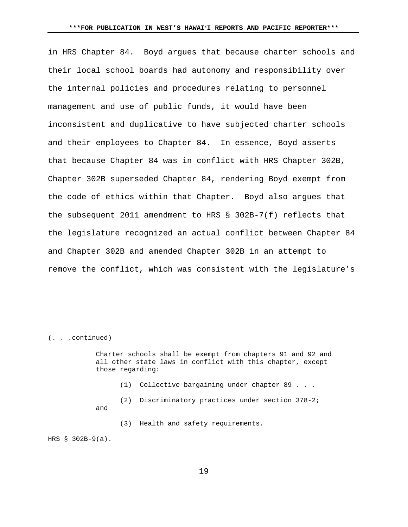in HRS Chapter 84. Boyd argues that because charter schools and their local school boards had autonomy and responsibility over the internal policies and procedures relating to personnel management and use of public funds, it would have been inconsistent and duplicative to have subjected charter schools and their employees to Chapter 84. In essence, Boyd asserts that because Chapter 84 was in conflict with HRS Chapter 302B, Chapter 302B superseded Chapter 84, rendering Boyd exempt from the code of ethics within that Chapter. Boyd also argues that the subsequent 2011 amendment to HRS § 302B-7(f) reflects that the legislature recognized an actual conflict between Chapter 84 and Chapter 302B and amended Chapter 302B in an attempt to remove the conflict, which was consistent with the legislature's

(. . .continued)

i<br>Li

Charter schools shall be exempt from chapters 91 and 92 and all other state laws in conflict with this chapter, except those regarding:

- (1) Collective bargaining under chapter 89 . . .
- (2) Discriminatory practices under section 378-2; and
	- (3) Health and safety requirements.

HRS § 302B-9(a).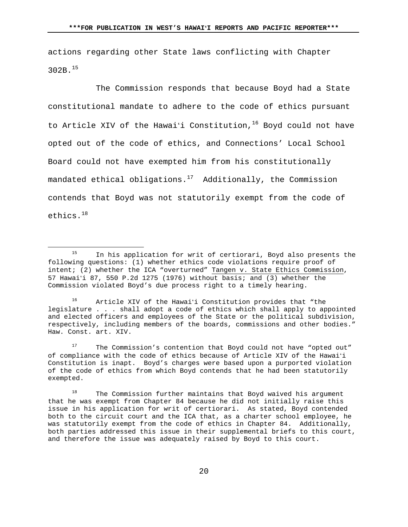actions regarding other State laws conflicting with Chapter 302B.<sup>15</sup>

 The Commission responds that because Boyd had a State constitutional mandate to adhere to the code of ethics pursuant to Article XIV of the Hawai'i Constitution,  $16$  Boyd could not have opted out of the code of ethics, and Connections' Local School Board could not have exempted him from his constitutionally mandated ethical obligations. $17$  Additionally, the Commission contends that Boyd was not statutorily exempt from the code of ethics.<sup>18</sup>

16 Article XIV of the Hawaiʻi Constitution provides that "the legislature . . . shall adopt a code of ethics which shall apply to appointed and elected officers and employees of the State or the political subdivision, respectively, including members of the boards, commissions and other bodies." Haw. Const. art. XIV.

 $17$  The Commission's contention that Boyd could not have "opted out" of compliance with the code of ethics because of Article XIV of the Hawaiʻi Constitution is inapt. Boyd's charges were based upon a purported violation of the code of ethics from which Boyd contends that he had been statutorily exempted.

 $18$  The Commission further maintains that Boyd waived his argument that he was exempt from Chapter 84 because he did not initially raise this issue in his application for writ of certiorari. As stated, Boyd contended both to the circuit court and the ICA that, as a charter school employee, he was statutorily exempt from the code of ethics in Chapter 84. Additionally, both parties addressed this issue in their supplemental briefs to this court, and therefore the issue was adequately raised by Boyd to this court.

<sup>&</sup>lt;sup>15</sup> In his application for writ of certiorari, Boyd also presents the following questions: (1) whether ethics code violations require proof of intent; (2) whether the ICA "overturned" Tangen v. State Ethics Commission, 57 Hawaiʻi 87, 550 P.2d 1275 (1976) without basis; and (3) whether the Commission violated Boyd's due process right to a timely hearing.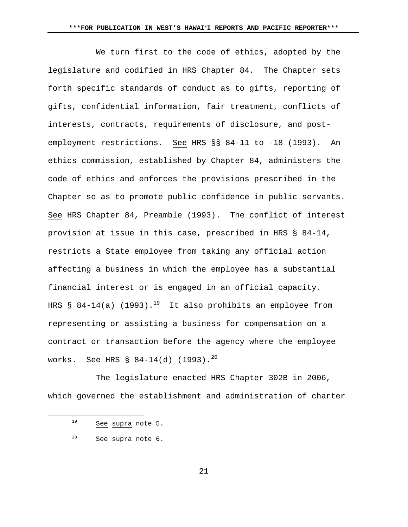We turn first to the code of ethics, adopted by the legislature and codified in HRS Chapter 84. The Chapter sets forth specific standards of conduct as to gifts, reporting of gifts, confidential information, fair treatment, conflicts of interests, contracts, requirements of disclosure, and postemployment restrictions. See HRS §§ 84-11 to -18 (1993). An ethics commission, established by Chapter 84, administers the code of ethics and enforces the provisions prescribed in the Chapter so as to promote public confidence in public servants. See HRS Chapter 84, Preamble (1993). The conflict of interest provision at issue in this case, prescribed in HRS § 84-14, restricts a State employee from taking any official action affecting a business in which the employee has a substantial financial interest or is engaged in an official capacity. HRS § 84-14(a) (1993).<sup>19</sup> It also prohibits an employee from representing or assisting a business for compensation on a contract or transaction before the agency where the employee works. See HRS § 84-14(d) (1993).<sup>20</sup>

 The legislature enacted HRS Chapter 302B in 2006, which governed the establishment and administration of charter

 <sup>19</sup> See supra note 5.

<sup>20</sup> See supra note 6.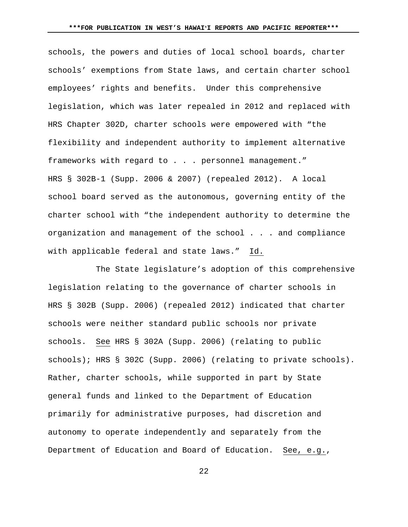schools, the powers and duties of local school boards, charter schools' exemptions from State laws, and certain charter school employees' rights and benefits. Under this comprehensive legislation, which was later repealed in 2012 and replaced with HRS Chapter 302D, charter schools were empowered with "the flexibility and independent authority to implement alternative frameworks with regard to . . . personnel management." HRS § 302B-1 (Supp. 2006 & 2007) (repealed 2012). A local school board served as the autonomous, governing entity of the charter school with "the independent authority to determine the organization and management of the school . . . and compliance with applicable federal and state laws." Id.

 The State legislature's adoption of this comprehensive legislation relating to the governance of charter schools in HRS § 302B (Supp. 2006) (repealed 2012) indicated that charter schools were neither standard public schools nor private schools. See HRS § 302A (Supp. 2006) (relating to public schools); HRS § 302C (Supp. 2006) (relating to private schools). Rather, charter schools, while supported in part by State general funds and linked to the Department of Education primarily for administrative purposes, had discretion and autonomy to operate independently and separately from the Department of Education and Board of Education. See, e.g.,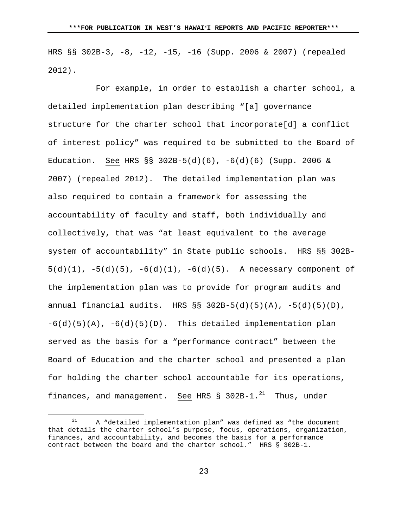HRS §§ 302B-3, -8, -12, -15, -16 (Supp. 2006 & 2007) (repealed 2012).

 For example, in order to establish a charter school, a detailed implementation plan describing "[a] governance structure for the charter school that incorporate[d] a conflict of interest policy" was required to be submitted to the Board of Education. See HRS §§ 302B-5(d)(6), -6(d)(6) (Supp. 2006 & 2007) (repealed 2012). The detailed implementation plan was also required to contain a framework for assessing the accountability of faculty and staff, both individually and collectively, that was "at least equivalent to the average system of accountability" in State public schools. HRS §§ 302B- $5(d)(1)$ ,  $-5(d)(5)$ ,  $-6(d)(1)$ ,  $-6(d)(5)$ . A necessary component of the implementation plan was to provide for program audits and annual financial audits. HRS  $\S$ § 302B-5(d)(5)(A), -5(d)(5)(D),  $-6(d)(5)(A)$ ,  $-6(d)(5)(D)$ . This detailed implementation plan served as the basis for a "performance contract" between the Board of Education and the charter school and presented a plan for holding the charter school accountable for its operations, finances, and management. See HRS  $\S$  302B-1.<sup>21</sup> Thus, under

 $21$  A "detailed implementation plan" was defined as "the document that details the charter school's purpose, focus, operations, organization, finances, and accountability, and becomes the basis for a performance contract between the board and the charter school." HRS § 302B-1.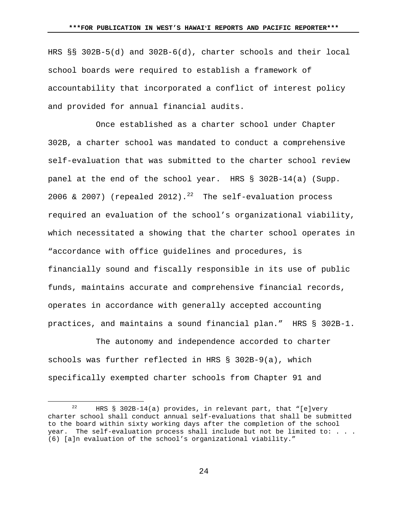HRS §§ 302B-5(d) and 302B-6(d), charter schools and their local school boards were required to establish a framework of accountability that incorporated a conflict of interest policy and provided for annual financial audits.

 Once established as a charter school under Chapter 302B, a charter school was mandated to conduct a comprehensive self-evaluation that was submitted to the charter school review panel at the end of the school year. HRS § 302B-14(a) (Supp. 2006 & 2007) (repealed 2012).<sup>22</sup> The self-evaluation process required an evaluation of the school's organizational viability, which necessitated a showing that the charter school operates in "accordance with office guidelines and procedures, is financially sound and fiscally responsible in its use of public funds, maintains accurate and comprehensive financial records, operates in accordance with generally accepted accounting practices, and maintains a sound financial plan." HRS § 302B-1.

 The autonomy and independence accorded to charter schools was further reflected in HRS § 302B-9(a), which specifically exempted charter schools from Chapter 91 and

<sup>&</sup>lt;sup>22</sup> HRS § 302B-14(a) provides, in relevant part, that "[e]very charter school shall conduct annual self-evaluations that shall be submitted to the board within sixty working days after the completion of the school year. The self-evaluation process shall include but not be limited to: . . . (6) [a]n evaluation of the school's organizational viability."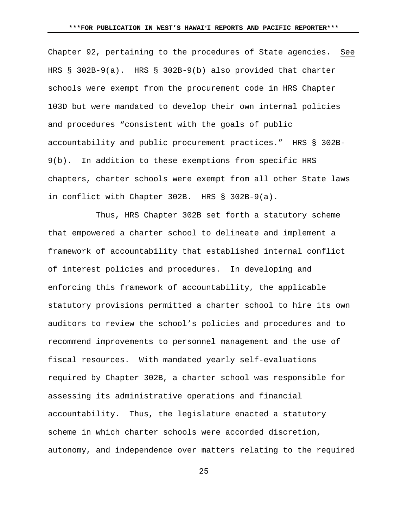Chapter 92, pertaining to the procedures of State agencies. See HRS § 302B-9(a). HRS § 302B-9(b) also provided that charter schools were exempt from the procurement code in HRS Chapter 103D but were mandated to develop their own internal policies and procedures "consistent with the goals of public accountability and public procurement practices." HRS § 302B-9(b). In addition to these exemptions from specific HRS chapters, charter schools were exempt from all other State laws in conflict with Chapter 302B. HRS § 302B-9(a).

 Thus, HRS Chapter 302B set forth a statutory scheme that empowered a charter school to delineate and implement a framework of accountability that established internal conflict of interest policies and procedures. In developing and enforcing this framework of accountability, the applicable statutory provisions permitted a charter school to hire its own auditors to review the school's policies and procedures and to recommend improvements to personnel management and the use of fiscal resources. With mandated yearly self-evaluations required by Chapter 302B, a charter school was responsible for assessing its administrative operations and financial accountability. Thus, the legislature enacted a statutory scheme in which charter schools were accorded discretion, autonomy, and independence over matters relating to the required

<u>25</u>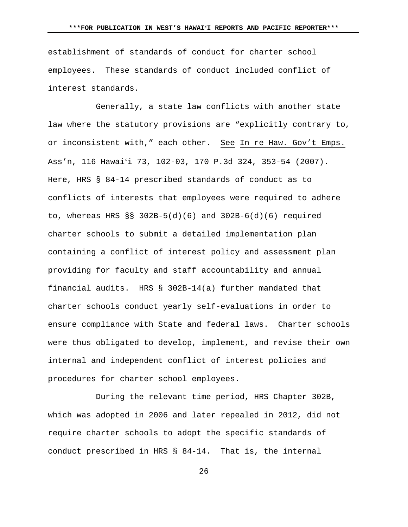establishment of standards of conduct for charter school employees. These standards of conduct included conflict of interest standards.

 Generally, a state law conflicts with another state law where the statutory provisions are "explicitly contrary to, or inconsistent with," each other. See In re Haw. Gov't Emps. Ass'n, 116 Hawaiʻi 73, 102-03, 170 P.3d 324, 353-54 (2007). Here, HRS § 84-14 prescribed standards of conduct as to conflicts of interests that employees were required to adhere to, whereas HRS §§ 302B-5(d)(6) and 302B-6(d)(6) required charter schools to submit a detailed implementation plan containing a conflict of interest policy and assessment plan providing for faculty and staff accountability and annual financial audits. HRS § 302B-14(a) further mandated that charter schools conduct yearly self-evaluations in order to ensure compliance with State and federal laws. Charter schools were thus obligated to develop, implement, and revise their own internal and independent conflict of interest policies and procedures for charter school employees.

 During the relevant time period, HRS Chapter 302B, which was adopted in 2006 and later repealed in 2012, did not require charter schools to adopt the specific standards of conduct prescribed in HRS § 84-14. That is, the internal

<u>26</u>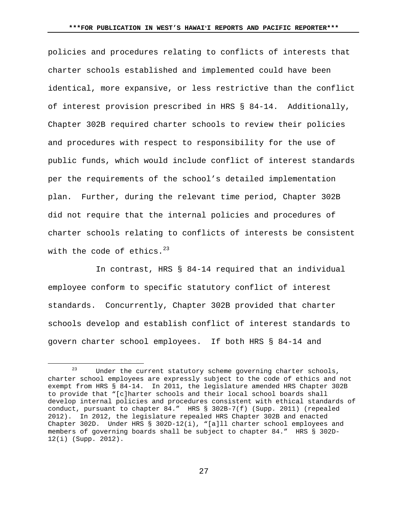policies and procedures relating to conflicts of interests that charter schools established and implemented could have been identical, more expansive, or less restrictive than the conflict of interest provision prescribed in HRS § 84-14. Additionally, Chapter 302B required charter schools to review their policies and procedures with respect to responsibility for the use of public funds, which would include conflict of interest standards per the requirements of the school's detailed implementation plan. Further, during the relevant time period, Chapter 302B did not require that the internal policies and procedures of charter schools relating to conflicts of interests be consistent with the code of ethics.  $23$ 

 In contrast, HRS § 84-14 required that an individual employee conform to specific statutory conflict of interest standards. Concurrently, Chapter 302B provided that charter schools develop and establish conflict of interest standards to govern charter school employees. If both HRS § 84-14 and

 $23$  Under the current statutory scheme governing charter schools, charter school employees are expressly subject to the code of ethics and not exempt from HRS § 84-14. In 2011, the legislature amended HRS Chapter 302B to provide that "[c]harter schools and their local school boards shall develop internal policies and procedures consistent with ethical standards of conduct, pursuant to chapter 84." HRS § 302B-7(f) (Supp. 2011) (repealed 2012). In 2012, the legislature repealed HRS Chapter 302B and enacted Chapter 302D. Under HRS § 302D-12(i), "[a]ll charter school employees and members of governing boards shall be subject to chapter 84." HRS § 302D-12(i) (Supp. 2012).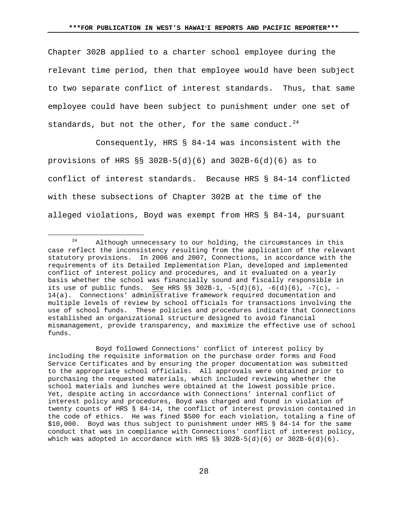Chapter 302B applied to a charter school employee during the relevant time period, then that employee would have been subject to two separate conflict of interest standards. Thus, that same employee could have been subject to punishment under one set of standards, but not the other, for the same conduct. $^{24}$ 

 Consequently, HRS § 84-14 was inconsistent with the provisions of HRS §§ 302B-5(d)(6) and 302B-6(d)(6) as to conflict of interest standards. Because HRS § 84-14 conflicted with these subsections of Chapter 302B at the time of the alleged violations, Boyd was exempt from HRS § 84-14, pursuant

 Boyd followed Connections' conflict of interest policy by including the requisite information on the purchase order forms and Food Service Certificates and by ensuring the proper documentation was submitted to the appropriate school officials. All approvals were obtained prior to purchasing the requested materials, which included reviewing whether the school materials and lunches were obtained at the lowest possible price. Yet, despite acting in accordance with Connections' internal conflict of interest policy and procedures, Boyd was charged and found in violation of twenty counts of HRS § 84-14, the conflict of interest provision contained in the code of ethics. He was fined \$500 for each violation, totaling a fine of \$10,000. Boyd was thus subject to punishment under HRS § 84-14 for the same conduct that was in compliance with Connections' conflict of interest policy, which was adopted in accordance with HRS  $\S$ § 302B-5(d)(6) or 302B-6(d)(6).

 $24$  Although unnecessary to our holding, the circumstances in this case reflect the inconsistency resulting from the application of the relevant statutory provisions. In 2006 and 2007, Connections, in accordance with the requirements of its Detailed Implementation Plan, developed and implemented conflict of interest policy and procedures, and it evaluated on a yearly basis whether the school was financially sound and fiscally responsible in its use of public funds. See HRS  $\S$ § 302B-1, -5(d)(6), -6(d)(6), -7(c), -14(a). Connections' administrative framework required documentation and multiple levels of review by school officials for transactions involving the use of school funds. These policies and procedures indicate that Connections established an organizational structure designed to avoid financial mismanagement, provide transparency, and maximize the effective use of school funds.